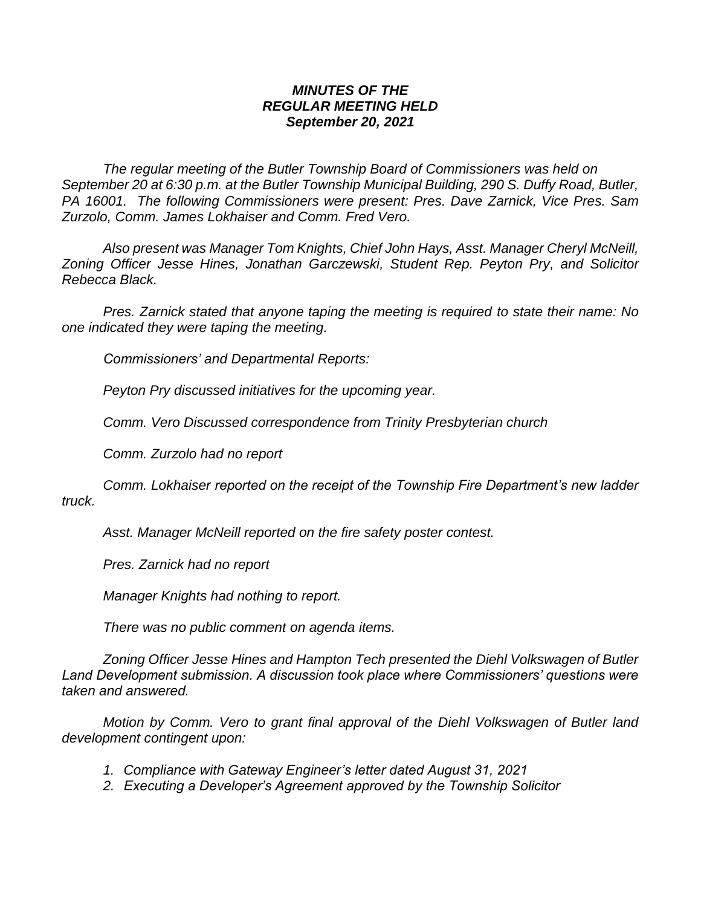## *MINUTES OF THE REGULAR MEETING HELD September 20, 2021*

*The regular meeting of the Butler Township Board of Commissioners was held on September 20 at 6:30 p.m. at the Butler Township Municipal Building, 290 S. Duffy Road, Butler, PA 16001. The following Commissioners were present: Pres. Dave Zarnick, Vice Pres. Sam Zurzolo, Comm. James Lokhaiser and Comm. Fred Vero.*

*Also present was Manager Tom Knights, Chief John Hays, Asst. Manager Cheryl McNeill, Zoning Officer Jesse Hines, Jonathan Garczewski, Student Rep. Peyton Pry, and Solicitor Rebecca Black.*

*Pres. Zarnick stated that anyone taping the meeting is required to state their name: No one indicated they were taping the meeting.*

*Commissioners' and Departmental Reports:*

*Peyton Pry discussed initiatives for the upcoming year.*

*Comm. Vero Discussed correspondence from Trinity Presbyterian church*

*Comm. Zurzolo had no report*

*Comm. Lokhaiser reported on the receipt of the Township Fire Department's new ladder truck.*

*Asst. Manager McNeill reported on the fire safety poster contest.*

*Pres. Zarnick had no report*

*Manager Knights had nothing to report.*

*There was no public comment on agenda items.*

*Zoning Officer Jesse Hines and Hampton Tech presented the Diehl Volkswagen of Butler Land Development submission. A discussion took place where Commissioners' questions were taken and answered.*

*Motion by Comm. Vero to grant final approval of the Diehl Volkswagen of Butler land development contingent upon:*

- *1. Compliance with Gateway Engineer's letter dated August 31, 2021*
- *2. Executing a Developer's Agreement approved by the Township Solicitor*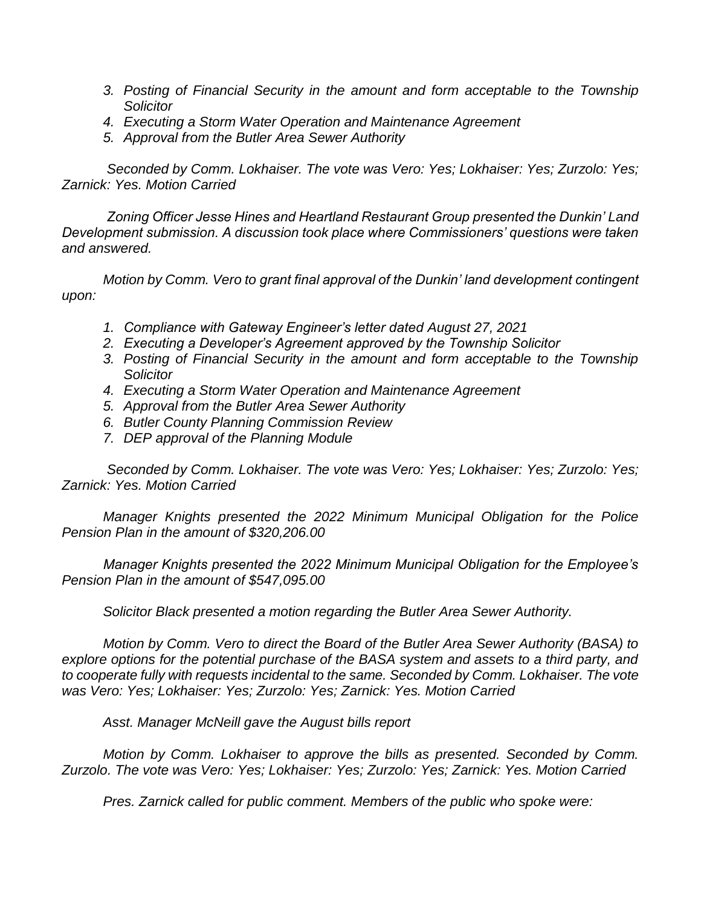- *3. Posting of Financial Security in the amount and form acceptable to the Township Solicitor*
- *4. Executing a Storm Water Operation and Maintenance Agreement*
- *5. Approval from the Butler Area Sewer Authority*

*Seconded by Comm. Lokhaiser. The vote was Vero: Yes; Lokhaiser: Yes; Zurzolo: Yes; Zarnick: Yes. Motion Carried*

*Zoning Officer Jesse Hines and Heartland Restaurant Group presented the Dunkin' Land Development submission. A discussion took place where Commissioners' questions were taken and answered.*

*Motion by Comm. Vero to grant final approval of the Dunkin' land development contingent upon:*

- *1. Compliance with Gateway Engineer's letter dated August 27, 2021*
- *2. Executing a Developer's Agreement approved by the Township Solicitor*
- *3. Posting of Financial Security in the amount and form acceptable to the Township Solicitor*
- *4. Executing a Storm Water Operation and Maintenance Agreement*
- *5. Approval from the Butler Area Sewer Authority*
- *6. Butler County Planning Commission Review*
- *7. DEP approval of the Planning Module*

*Seconded by Comm. Lokhaiser. The vote was Vero: Yes; Lokhaiser: Yes; Zurzolo: Yes; Zarnick: Yes. Motion Carried*

*Manager Knights presented the 2022 Minimum Municipal Obligation for the Police Pension Plan in the amount of \$320,206.00*

*Manager Knights presented the 2022 Minimum Municipal Obligation for the Employee's Pension Plan in the amount of \$547,095.00* 

*Solicitor Black presented a motion regarding the Butler Area Sewer Authority.*

*Motion by Comm. Vero to direct the Board of the Butler Area Sewer Authority (BASA) to explore options for the potential purchase of the BASA system and assets to a third party, and to cooperate fully with requests incidental to the same. Seconded by Comm. Lokhaiser. The vote was Vero: Yes; Lokhaiser: Yes; Zurzolo: Yes; Zarnick: Yes. Motion Carried*

*Asst. Manager McNeill gave the August bills report*

*Motion by Comm. Lokhaiser to approve the bills as presented. Seconded by Comm. Zurzolo. The vote was Vero: Yes; Lokhaiser: Yes; Zurzolo: Yes; Zarnick: Yes. Motion Carried*

*Pres. Zarnick called for public comment. Members of the public who spoke were:*